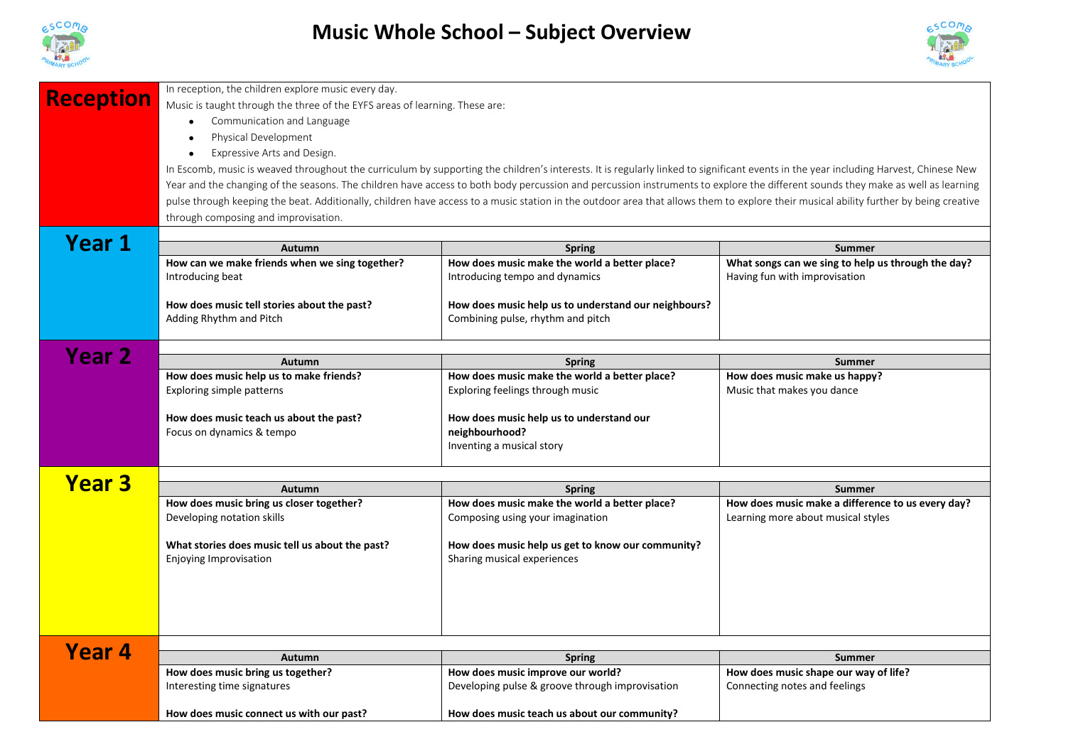



| <b>Reception</b> | In reception, the children explore music every day.                                                                                                                                   |                                                      |                                                    |  |  |
|------------------|---------------------------------------------------------------------------------------------------------------------------------------------------------------------------------------|------------------------------------------------------|----------------------------------------------------|--|--|
|                  | Music is taught through the three of the EYFS areas of learning. These are:<br>Communication and Language<br>$\bullet$<br>Physical Development<br>$\bullet$                           |                                                      |                                                    |  |  |
|                  |                                                                                                                                                                                       |                                                      |                                                    |  |  |
|                  |                                                                                                                                                                                       |                                                      |                                                    |  |  |
|                  | Expressive Arts and Design.<br>$\bullet$                                                                                                                                              |                                                      |                                                    |  |  |
|                  | In Escomb, music is weaved throughout the curriculum by supporting the children's interests. It is regularly linked to significant events in the year including Harvest, Chinese New  |                                                      |                                                    |  |  |
|                  | Year and the changing of the seasons. The children have access to both body percussion and percussion instruments to explore the different sounds they make as well as learning       |                                                      |                                                    |  |  |
|                  | pulse through keeping the beat. Additionally, children have access to a music station in the outdoor area that allows them to explore their musical ability further by being creative |                                                      |                                                    |  |  |
|                  | through composing and improvisation.                                                                                                                                                  |                                                      |                                                    |  |  |
| Year 1           |                                                                                                                                                                                       |                                                      |                                                    |  |  |
|                  | Autumn                                                                                                                                                                                | <b>Spring</b>                                        | <b>Summer</b>                                      |  |  |
|                  | How can we make friends when we sing together?                                                                                                                                        | How does music make the world a better place?        | What songs can we sing to help us through the day? |  |  |
|                  | Introducing beat                                                                                                                                                                      | Introducing tempo and dynamics                       | Having fun with improvisation                      |  |  |
|                  | How does music tell stories about the past?                                                                                                                                           | How does music help us to understand our neighbours? |                                                    |  |  |
|                  | Adding Rhythm and Pitch                                                                                                                                                               | Combining pulse, rhythm and pitch                    |                                                    |  |  |
|                  |                                                                                                                                                                                       |                                                      |                                                    |  |  |
| Year 2           |                                                                                                                                                                                       |                                                      |                                                    |  |  |
|                  | Autumn                                                                                                                                                                                | <b>Spring</b>                                        | <b>Summer</b>                                      |  |  |
|                  | How does music help us to make friends?                                                                                                                                               | How does music make the world a better place?        | How does music make us happy?                      |  |  |
|                  | Exploring simple patterns                                                                                                                                                             | Exploring feelings through music                     | Music that makes you dance                         |  |  |
|                  | How does music teach us about the past?                                                                                                                                               | How does music help us to understand our             |                                                    |  |  |
|                  | Focus on dynamics & tempo                                                                                                                                                             | neighbourhood?                                       |                                                    |  |  |
|                  |                                                                                                                                                                                       | Inventing a musical story                            |                                                    |  |  |
|                  |                                                                                                                                                                                       |                                                      |                                                    |  |  |
| <b>Year 3</b>    |                                                                                                                                                                                       |                                                      |                                                    |  |  |
|                  | <b>Autumn</b>                                                                                                                                                                         | <b>Spring</b>                                        | <b>Summer</b>                                      |  |  |
|                  | How does music bring us closer together?                                                                                                                                              | How does music make the world a better place?        | How does music make a difference to us every day?  |  |  |
|                  | Developing notation skills                                                                                                                                                            | Composing using your imagination                     | Learning more about musical styles                 |  |  |
|                  | What stories does music tell us about the past?                                                                                                                                       | How does music help us get to know our community?    |                                                    |  |  |
|                  | Enjoying Improvisation                                                                                                                                                                | Sharing musical experiences                          |                                                    |  |  |
|                  |                                                                                                                                                                                       |                                                      |                                                    |  |  |
|                  |                                                                                                                                                                                       |                                                      |                                                    |  |  |
|                  |                                                                                                                                                                                       |                                                      |                                                    |  |  |
|                  |                                                                                                                                                                                       |                                                      |                                                    |  |  |
|                  |                                                                                                                                                                                       |                                                      |                                                    |  |  |
| Year 4           |                                                                                                                                                                                       |                                                      |                                                    |  |  |
|                  | <b>Autumn</b>                                                                                                                                                                         | <b>Spring</b>                                        | <b>Summer</b>                                      |  |  |
|                  | How does music bring us together?                                                                                                                                                     | How does music improve our world?                    | How does music shape our way of life?              |  |  |
|                  | Interesting time signatures                                                                                                                                                           | Developing pulse & groove through improvisation      | Connecting notes and feelings                      |  |  |
|                  | How does music connect us with our past?                                                                                                                                              | How does music teach us about our community?         |                                                    |  |  |